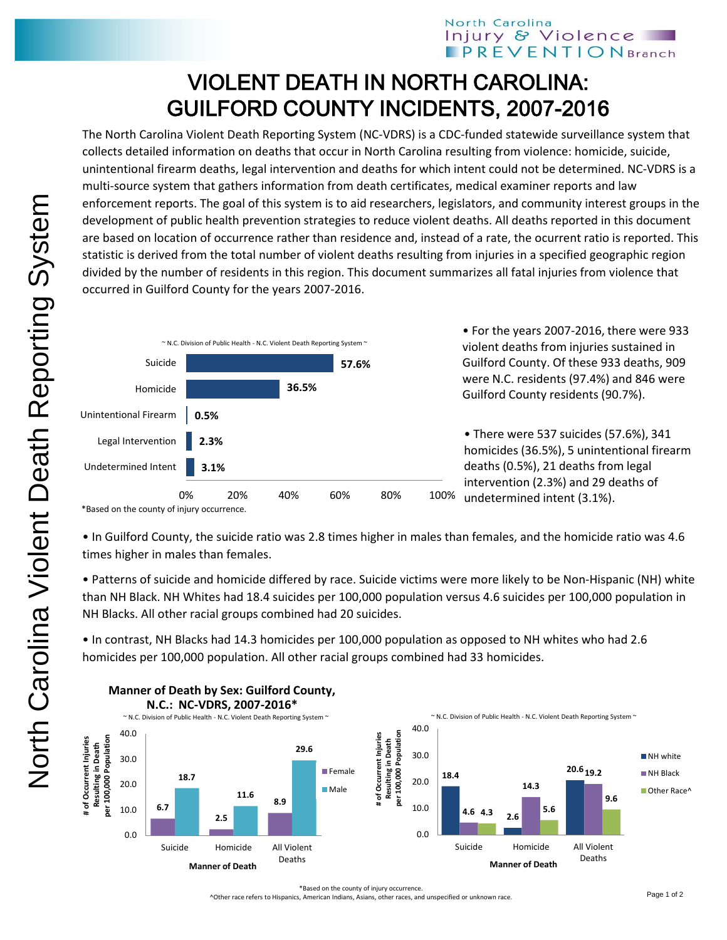## North Carolina Injury & Violence **PREVENTION** Branch

## VIOLENT DEATH IN NORTH CAROLINA: GUILFORD COUNTY INCIDENTS, 2007-2016

The North Carolina Violent Death Reporting System (NC-VDRS) is a CDC-funded statewide surveillance system that collects detailed information on deaths that occur in North Carolina resulting from violence: homicide, suicide, unintentional firearm deaths, legal intervention and deaths for which intent could not be determined. NC-VDRS is a multi-source system that gathers information from death certificates, medical examiner reports and law enforcement reports. The goal of this system is to aid researchers, legislators, and community interest groups in the development of public health prevention strategies to reduce violent deaths. All deaths reported in this document are based on location of occurrence rather than residence and, instead of a rate, the ocurrent ratio is reported. This statistic is derived from the total number of violent deaths resulting from injuries in a specified geographic region divided by the number of residents in this region. This document summarizes all fatal injuries from violence that occurred in Guilford County for the years 2007-2016.



\*Based on the county of injury occurrence.

• In Guilford County, the suicide ratio was 2.8 times higher in males than females, and the homicide ratio was 4.6 times higher in males than females.

• Patterns of suicide and homicide differed by race. Suicide victims were more likely to be Non-Hispanic (NH) white than NH Black. NH Whites had 18.4 suicides per 100,000 population versus 4.6 suicides per 100,000 population in NH Blacks. All other racial groups combined had 20 suicides.

• In contrast, NH Blacks had 14.3 homicides per 100,000 population as opposed to NH whites who had 2.6 homicides per 100,000 population. All other racial groups combined had 33 homicides.



## **Manner of Death by Sex: Guilford County,**

\*Based on the county of injury occurrence.

^Other race refers to Hispanics, American Indians, Asians, other races, and unspecified or unknown race.